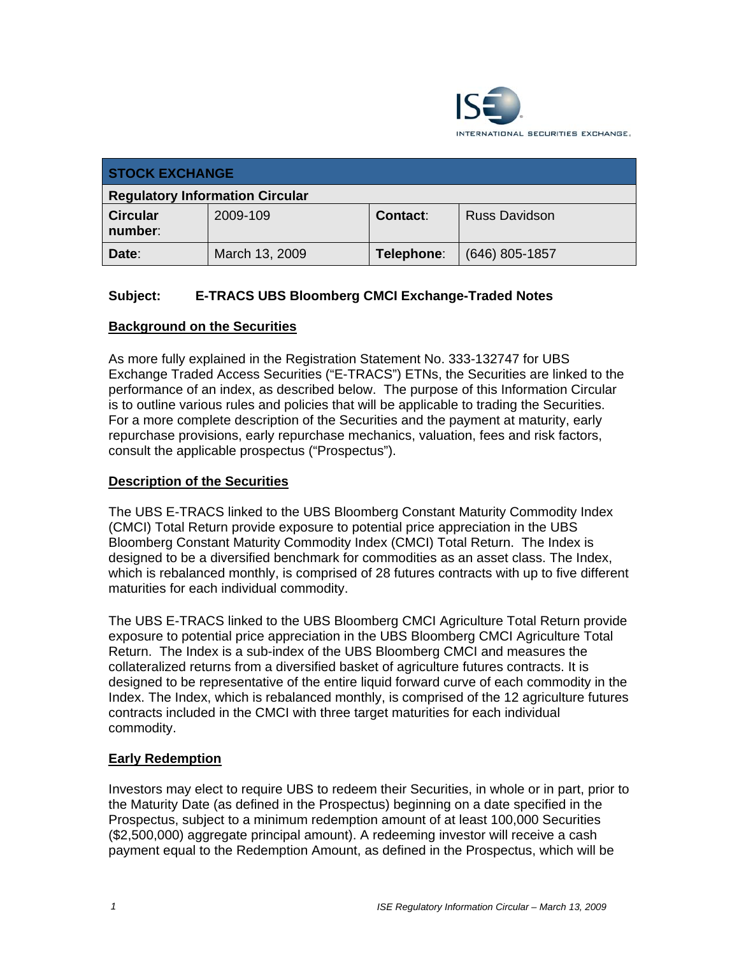

| <b>STOCK EXCHANGE</b>                  |                |                 |                      |  |
|----------------------------------------|----------------|-----------------|----------------------|--|
| <b>Regulatory Information Circular</b> |                |                 |                      |  |
| <b>Circular</b><br>number:             | 2009-109       | <b>Contact:</b> | <b>Russ Davidson</b> |  |
| Date:                                  | March 13, 2009 | Telephone:      | $(646)$ 805-1857     |  |

## **Subject: E-TRACS UBS Bloomberg CMCI Exchange-Traded Notes**

## **Background on the Securities**

As more fully explained in the Registration Statement No. 333-132747 for UBS Exchange Traded Access Securities ("E-TRACS") ETNs, the Securities are linked to the performance of an index, as described below. The purpose of this Information Circular is to outline various rules and policies that will be applicable to trading the Securities. For a more complete description of the Securities and the payment at maturity, early repurchase provisions, early repurchase mechanics, valuation, fees and risk factors, consult the applicable prospectus ("Prospectus").

### **Description of the Securities**

The UBS E-TRACS linked to the UBS Bloomberg Constant Maturity Commodity Index (CMCI) Total Return provide exposure to potential price appreciation in the UBS Bloomberg Constant Maturity Commodity Index (CMCI) Total Return. The Index is designed to be a diversified benchmark for commodities as an asset class. The Index, which is rebalanced monthly, is comprised of 28 futures contracts with up to five different maturities for each individual commodity.

The UBS E-TRACS linked to the UBS Bloomberg CMCI Agriculture Total Return provide exposure to potential price appreciation in the UBS Bloomberg CMCI Agriculture Total Return. The Index is a sub-index of the UBS Bloomberg CMCI and measures the collateralized returns from a diversified basket of agriculture futures contracts. It is designed to be representative of the entire liquid forward curve of each commodity in the Index. The Index, which is rebalanced monthly, is comprised of the 12 agriculture futures contracts included in the CMCI with three target maturities for each individual commodity.

#### **Early Redemption**

Investors may elect to require UBS to redeem their Securities, in whole or in part, prior to the Maturity Date (as defined in the Prospectus) beginning on a date specified in the Prospectus, subject to a minimum redemption amount of at least 100,000 Securities (\$2,500,000) aggregate principal amount). A redeeming investor will receive a cash payment equal to the Redemption Amount, as defined in the Prospectus, which will be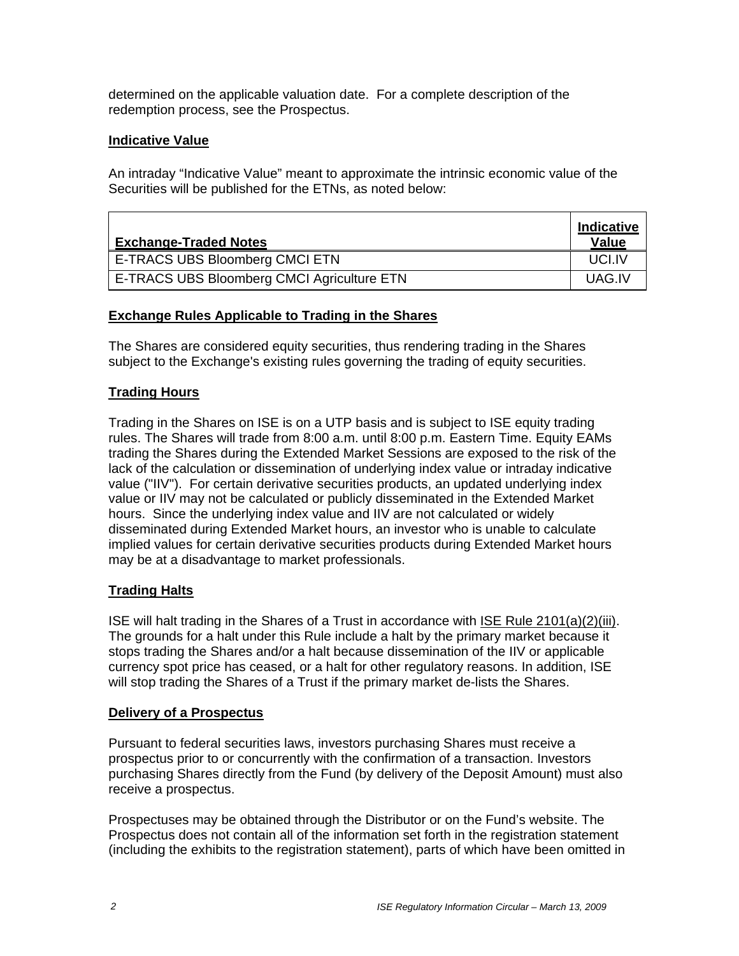determined on the applicable valuation date. For a complete description of the redemption process, see the Prospectus.

## **Indicative Value**

An intraday "Indicative Value" meant to approximate the intrinsic economic value of the Securities will be published for the ETNs, as noted below:

| <b>Exchange-Traded Notes</b>               |        |
|--------------------------------------------|--------|
| E-TRACS UBS Bloomberg CMCI ETN             | UCLIV  |
| E-TRACS UBS Bloomberg CMCI Agriculture ETN | UAG.IV |

#### **Exchange Rules Applicable to Trading in the Shares**

The Shares are considered equity securities, thus rendering trading in the Shares subject to the Exchange's existing rules governing the trading of equity securities.

## **Trading Hours**

Trading in the Shares on ISE is on a UTP basis and is subject to ISE equity trading rules. The Shares will trade from 8:00 a.m. until 8:00 p.m. Eastern Time. Equity EAMs trading the Shares during the Extended Market Sessions are exposed to the risk of the lack of the calculation or dissemination of underlying index value or intraday indicative value ("IIV"). For certain derivative securities products, an updated underlying index value or IIV may not be calculated or publicly disseminated in the Extended Market hours. Since the underlying index value and IIV are not calculated or widely disseminated during Extended Market hours, an investor who is unable to calculate implied values for certain derivative securities products during Extended Market hours may be at a disadvantage to market professionals.

## **Trading Halts**

ISE will halt trading in the Shares of a Trust in accordance with ISE Rule 2101(a)(2)(iii). The grounds for a halt under this Rule include a halt by the primary market because it stops trading the Shares and/or a halt because dissemination of the IIV or applicable currency spot price has ceased, or a halt for other regulatory reasons. In addition, ISE will stop trading the Shares of a Trust if the primary market de-lists the Shares.

#### **Delivery of a Prospectus**

Pursuant to federal securities laws, investors purchasing Shares must receive a prospectus prior to or concurrently with the confirmation of a transaction. Investors purchasing Shares directly from the Fund (by delivery of the Deposit Amount) must also receive a prospectus.

Prospectuses may be obtained through the Distributor or on the Fund's website. The Prospectus does not contain all of the information set forth in the registration statement (including the exhibits to the registration statement), parts of which have been omitted in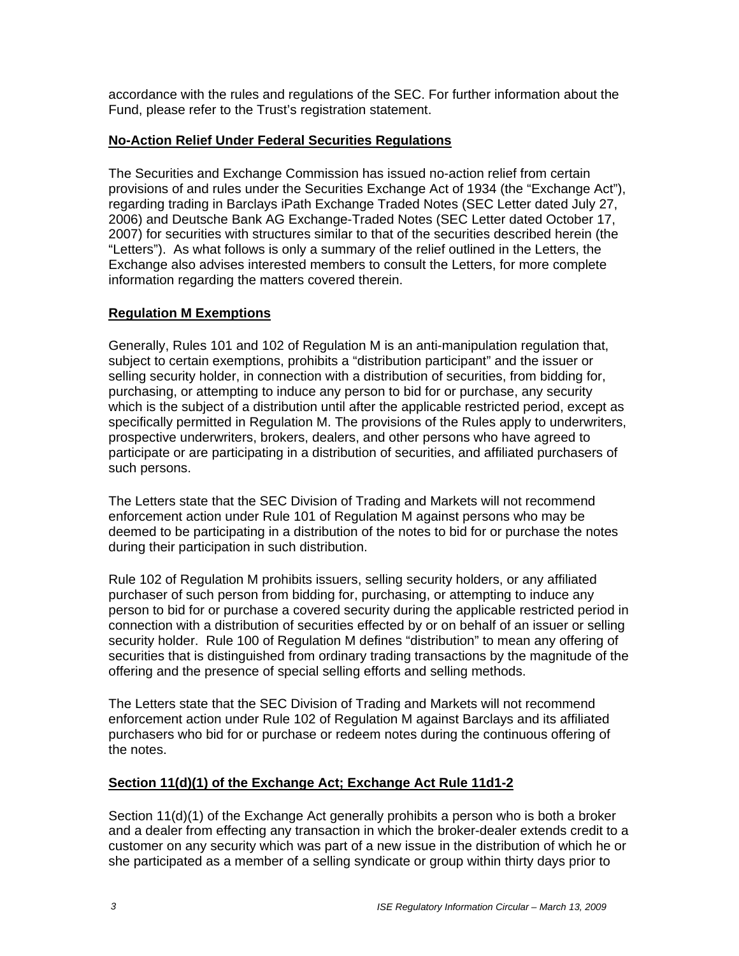accordance with the rules and regulations of the SEC. For further information about the Fund, please refer to the Trust's registration statement.

## **No-Action Relief Under Federal Securities Regulations**

The Securities and Exchange Commission has issued no-action relief from certain provisions of and rules under the Securities Exchange Act of 1934 (the "Exchange Act"), regarding trading in Barclays iPath Exchange Traded Notes (SEC Letter dated July 27, 2006) and Deutsche Bank AG Exchange-Traded Notes (SEC Letter dated October 17, 2007) for securities with structures similar to that of the securities described herein (the "Letters"). As what follows is only a summary of the relief outlined in the Letters, the Exchange also advises interested members to consult the Letters, for more complete information regarding the matters covered therein.

## **Regulation M Exemptions**

Generally, Rules 101 and 102 of Regulation M is an anti-manipulation regulation that, subject to certain exemptions, prohibits a "distribution participant" and the issuer or selling security holder, in connection with a distribution of securities, from bidding for, purchasing, or attempting to induce any person to bid for or purchase, any security which is the subject of a distribution until after the applicable restricted period, except as specifically permitted in Regulation M. The provisions of the Rules apply to underwriters, prospective underwriters, brokers, dealers, and other persons who have agreed to participate or are participating in a distribution of securities, and affiliated purchasers of such persons.

The Letters state that the SEC Division of Trading and Markets will not recommend enforcement action under Rule 101 of Regulation M against persons who may be deemed to be participating in a distribution of the notes to bid for or purchase the notes during their participation in such distribution.

Rule 102 of Regulation M prohibits issuers, selling security holders, or any affiliated purchaser of such person from bidding for, purchasing, or attempting to induce any person to bid for or purchase a covered security during the applicable restricted period in connection with a distribution of securities effected by or on behalf of an issuer or selling security holder. Rule 100 of Regulation M defines "distribution" to mean any offering of securities that is distinguished from ordinary trading transactions by the magnitude of the offering and the presence of special selling efforts and selling methods.

The Letters state that the SEC Division of Trading and Markets will not recommend enforcement action under Rule 102 of Regulation M against Barclays and its affiliated purchasers who bid for or purchase or redeem notes during the continuous offering of the notes.

## **Section 11(d)(1) of the Exchange Act; Exchange Act Rule 11d1-2**

Section 11(d)(1) of the Exchange Act generally prohibits a person who is both a broker and a dealer from effecting any transaction in which the broker-dealer extends credit to a customer on any security which was part of a new issue in the distribution of which he or she participated as a member of a selling syndicate or group within thirty days prior to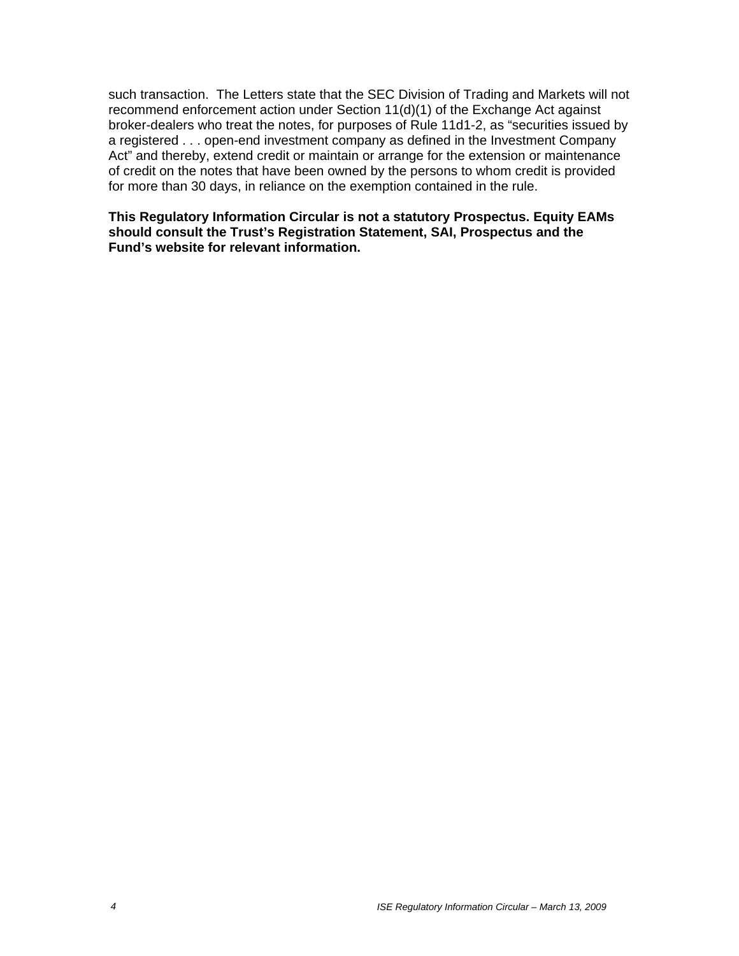such transaction. The Letters state that the SEC Division of Trading and Markets will not recommend enforcement action under Section 11(d)(1) of the Exchange Act against broker-dealers who treat the notes, for purposes of Rule 11d1-2, as "securities issued by a registered . . . open-end investment company as defined in the Investment Company Act" and thereby, extend credit or maintain or arrange for the extension or maintenance of credit on the notes that have been owned by the persons to whom credit is provided for more than 30 days, in reliance on the exemption contained in the rule.

**This Regulatory Information Circular is not a statutory Prospectus. Equity EAMs should consult the Trust's Registration Statement, SAI, Prospectus and the Fund's website for relevant information.**